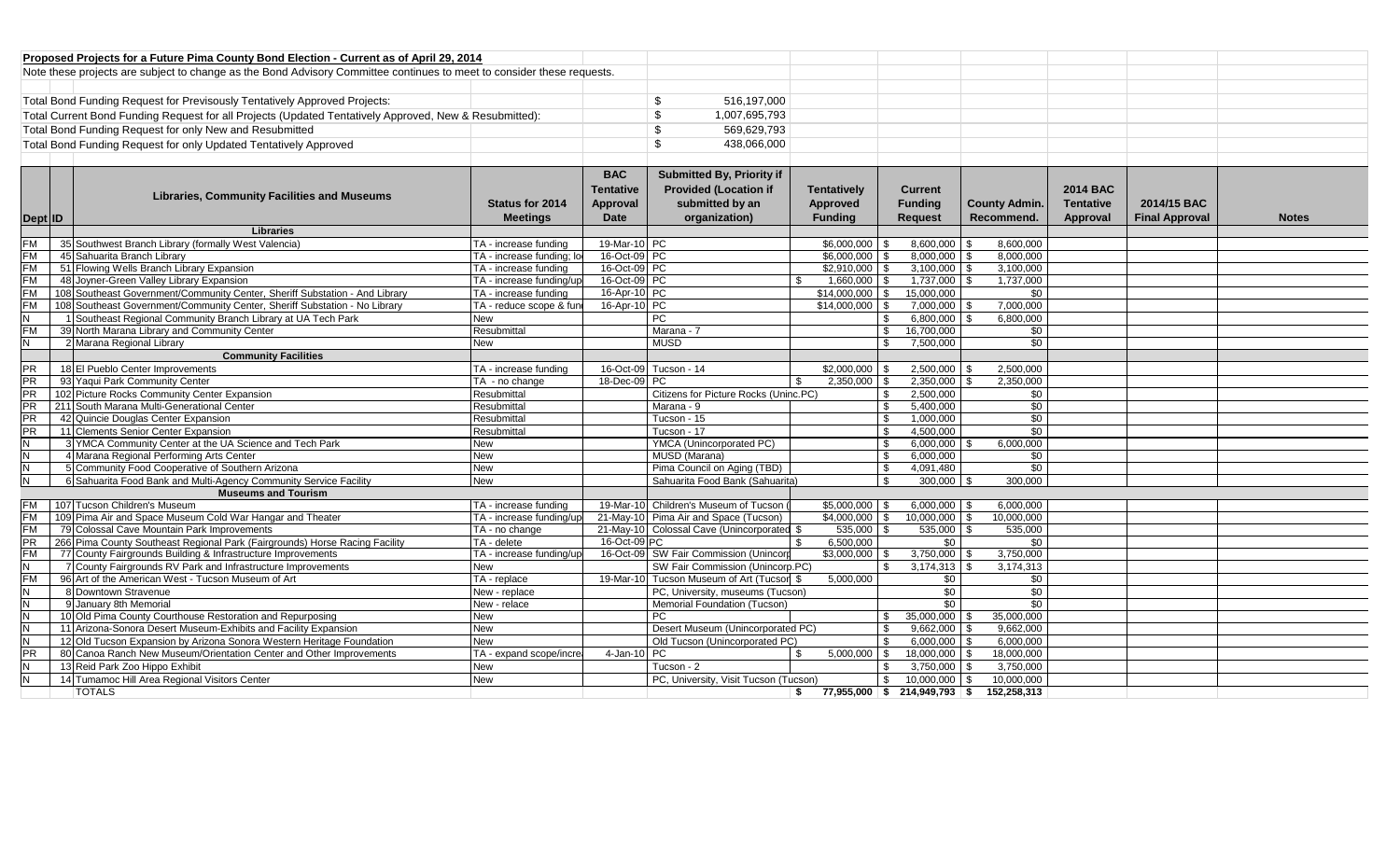| Proposed Projects for a Future Pima County Bond Election - Current as of April 29, 2014                                |               |  |  |  |
|------------------------------------------------------------------------------------------------------------------------|---------------|--|--|--|
| Note these projects are subject to change as the Bond Advisory Committee continues to meet to consider these requests. |               |  |  |  |
|                                                                                                                        |               |  |  |  |
| Total Bond Funding Request for Previsously Tentatively Approved Projects:                                              | 516,197,000   |  |  |  |
| Total Current Bond Funding Request for all Projects (Updated Tentatively Approved, New & Resubmitted):                 | 1,007,695,793 |  |  |  |
| Total Bond Funding Request for only New and Resubmitted                                                                | 569,629,793   |  |  |  |
| Total Bond Funding Request for only Updated Tentatively Approved                                                       | 438.066.000   |  |  |  |
|                                                                                                                        |               |  |  |  |

|                |                                                                             |                           | <b>BAC</b>       | <b>Submitted By, Priority if</b>           |                                  |                             |                      |                  |                       |              |
|----------------|-----------------------------------------------------------------------------|---------------------------|------------------|--------------------------------------------|----------------------------------|-----------------------------|----------------------|------------------|-----------------------|--------------|
|                | <b>Libraries, Community Facilities and Museums</b>                          |                           | <b>Tentative</b> | <b>Provided (Location if</b>               | <b>Tentatively</b>               | <b>Current</b>              |                      | <b>2014 BAC</b>  |                       |              |
|                |                                                                             | Status for 2014           | Approval         | submitted by an                            | Approved                         | Funding                     | <b>County Admin.</b> | <b>Tentative</b> | 2014/15 BAC           |              |
| Dept ID        |                                                                             | <b>Meetings</b>           | <b>Date</b>      | organization)                              | <b>Funding</b>                   | <b>Request</b>              | Recommend.           | Approval         | <b>Final Approval</b> | <b>Notes</b> |
|                | Libraries                                                                   |                           |                  |                                            |                                  |                             |                      |                  |                       |              |
| <b>FM</b>      | 35 Southwest Branch Library (formally West Valencia)                        | TA - increase funding     | 19-Mar-10 PC     |                                            | $$6.000.000$ \ \$                | 8,600,000                   | 8,600,000            |                  |                       |              |
| <b>FM</b>      | 45 Sahuarita Branch Library                                                 | TA - increase funding; lo | 16-Oct-09 PC     |                                            | \$6,000,000                      | $8.000.000$ \ \$            | 8.000.000            |                  |                       |              |
| <b>FM</b>      | 51 Flowing Wells Branch Library Expansion                                   | TA - increase funding     | 16-Oct-09 PC     |                                            | $$2,910,000$ \ \$                | $3,100,000$ \$              | 3,100,000            |                  |                       |              |
| <b>FM</b>      | 48 Joyner-Green Valley Library Expansion                                    | TA - increase funding/up  | 16-Oct-09 PC     |                                            | $1,660,000$ \$                   | $1,737,000$ \$              | 1,737,000            |                  |                       |              |
| <b>FM</b>      | 108 Southeast Government/Community Center, Sheriff Substation - And Library | TA - increase funding     | 16-Apr-10 PC     |                                            | $$14.000.000$ \ \$               | 15,000,000                  | \$0                  |                  |                       |              |
| <b>FM</b>      | 108 Southeast Government/Community Center, Sheriff Substation - No Library  | TA - reduce scope & fund  | 16-Apr-10 PC     |                                            | $$14,000,000$ \$                 | 7,000,000 \$                | 7,000,000            |                  |                       |              |
| <b>N</b>       | 1 Southeast Regional Community Branch Library at UA Tech Park               | <b>New</b>                |                  | PC                                         |                                  | $6,800,000$ \$<br>\$        | 6,800,000            |                  |                       |              |
| <b>FM</b>      | 39 North Marana Library and Community Center                                | Resubmittal               |                  | Marana - 7                                 |                                  | 16,700,000<br>\$            | \$0                  |                  |                       |              |
| <b>N</b>       | 2 Marana Regional Library                                                   | <b>New</b>                |                  | <b>MUSD</b>                                |                                  | 7.500.000<br>- \$           | \$0                  |                  |                       |              |
|                | <b>Community Facilities</b>                                                 |                           |                  |                                            |                                  |                             |                      |                  |                       |              |
| <b>PR</b>      | 18 El Pueblo Center Improvements                                            | TA - increase funding     |                  | 16-Oct-09 Tucson - 14                      | $$2.000.000$ \ \$                | $2,500,000$ \$              | 2.500.000            |                  |                       |              |
| PR             | 93 Yaqui Park Community Center                                              | TA - no change            | 18-Dec-09 PC     |                                            | $2.350.000$ \$<br>-\$            | 2,350,000                   | 2.350.000            |                  |                       |              |
| <b>PR</b>      | 102 Picture Rocks Community Center Expansion                                | Resubmittal               |                  | Citizens for Picture Rocks (Uninc.PC)      |                                  | 2.500.000<br>$\mathbf{s}$   | \$0                  |                  |                       |              |
| <b>PR</b>      | 211 South Marana Multi-Generational Center                                  | Resubmittal               |                  | Marana - 9                                 |                                  | 5.400.000<br>$\mathfrak{L}$ | \$0                  |                  |                       |              |
| <b>PR</b>      | 42 Quincie Douglas Center Expansion                                         | Resubmittal               |                  | Tucson - 15                                |                                  | \$<br>1.000.000             | \$0                  |                  |                       |              |
| <b>PR</b>      | 11 Clements Senior Center Expansion                                         | Resubmittal               |                  | Tucson - 17                                |                                  | 4,500,000<br>\$             | $\overline{50}$      |                  |                       |              |
| <b>N</b>       | 3 YMCA Community Center at the UA Science and Tech Park                     | <b>New</b>                |                  | YMCA (Unincorporated PC)                   |                                  | 6.000.000<br>\$             | 6.000.000            |                  |                       |              |
| N.             | 4 Marana Regional Performing Arts Center                                    | <b>New</b>                |                  | MUSD (Marana)                              |                                  | \$<br>6.000.000             | \$0                  |                  |                       |              |
| <b>N</b>       | 5 Community Food Cooperative of Southern Arizona                            | <b>New</b>                |                  | Pima Council on Aging (TBD)                |                                  | \$<br>4,091,480             | $\overline{50}$      |                  |                       |              |
| $\overline{N}$ | 6 Sahuarita Food Bank and Multi-Agency Community Service Facility           | <b>New</b>                |                  | Sahuarita Food Bank (Sahuarita)            |                                  | 300,000<br>ς.               | 300.000              |                  |                       |              |
|                | <b>Museums and Tourism</b>                                                  |                           |                  |                                            |                                  |                             |                      |                  |                       |              |
| <b>FM</b>      | 107 Tucson Children's Museum                                                | TA - increase funding     |                  | 19-Mar-10 Children's Museum of Tucson      | $$5,000,000$ \ \$                | $6,000,000$ \ \$            | 6,000,000            |                  |                       |              |
| <b>FM</b>      | 109 Pima Air and Space Museum Cold War Hangar and Theater                   | TA - increase funding/up  |                  | 21-May-10 Pima Air and Space (Tucson)      | $$4,000,000$ \ \$                | 10,000,000                  | 10,000,000           |                  |                       |              |
| <b>FM</b>      | 79 Colossal Cave Mountain Park Improvements                                 | TA - no change            |                  | 21-May-10 Colossal Cave (Unincorporated \$ | 535,000 \$                       | 535,000                     | 535,000              |                  |                       |              |
| <b>PR</b>      | 266 Pima County Southeast Regional Park (Fairgrounds) Horse Racing Facility | TA - delete               | 16-Oct-09 PC     |                                            | 6.500.000                        | \$0                         | \$0                  |                  |                       |              |
| <b>FM</b>      | 77 County Fairgrounds Building & Infrastructure Improvements                | TA - increase funding/up  |                  | 16-Oct-09 SW Fair Commission (Unincorp     | $$3.000.000$ \ \$                | $3,750,000$ \ \$            | 3,750,000            |                  |                       |              |
| N              | 7 County Fairgrounds RV Park and Infrastructure Improvements                | <b>New</b>                |                  | SW Fair Commission (Unincorp.PC)           |                                  | $3,174,313$ \$<br>ፍ         | 3.174.313            |                  |                       |              |
| <b>FM</b>      | 96 Art of the American West - Tucson Museum of Art                          | TA - replace              |                  | 19-Mar-10 Tucson Museum of Art (Tucson \$  | 5.000.000                        | \$0                         | \$0                  |                  |                       |              |
| $\overline{N}$ | 8 Downtown Stravenue                                                        | New - replace             |                  | PC, University, museums (Tucson)           |                                  | \$0                         | $\overline{50}$      |                  |                       |              |
| <b>N</b>       | 9 January 8th Memorial                                                      | New - relace              |                  | Memorial Foundation (Tucson)               |                                  | $\sqrt{6}$                  | $\overline{50}$      |                  |                       |              |
| N.             | 10 Old Pima County Courthouse Restoration and Repurposing                   | New                       |                  | <b>PC</b>                                  |                                  | $35,000,000$ \$<br>\$       | 35,000,000           |                  |                       |              |
| N              | 11 Arizona-Sonora Desert Museum-Exhibits and Facility Expansion             | <b>New</b>                |                  | Desert Museum (Unincorporated PC)          |                                  | \$<br>9,662,000             | 9,662,000            |                  |                       |              |
| <b>N</b>       | 12 Old Tucson Expansion by Arizona Sonora Western Heritage Foundation       | <b>New</b>                |                  | Old Tucson (Unincorporated PC)             |                                  | 6,000,000<br>- \$           | 6,000,000            |                  |                       |              |
| <b>PR</b>      | 80 Canoa Ranch New Museum/Orientation Center and Other Improvements         | TA - expand scope/increa  | 4-Jan-10 PC      |                                            | $5.000.000$ \ \$                 | 18.000.000                  | 18,000,000           |                  |                       |              |
| N.             | 13 Reid Park Zoo Hippo Exhibit                                              | <b>New</b>                |                  | Tucson - 2                                 |                                  | 3,750,000<br>$\mathcal{L}$  | 3,750,000            |                  |                       |              |
| N.             | 14 Tumamoc Hill Area Regional Visitors Center                               | <b>New</b>                |                  | PC, University, Visit Tucson (Tucson)      |                                  | \$<br>10.000.000            | 10.000.000           |                  |                       |              |
|                | <b>TOTALS</b>                                                               |                           |                  |                                            | $$77,955,000 \t$214,949,793 \t$$ |                             | 152,258,313          |                  |                       |              |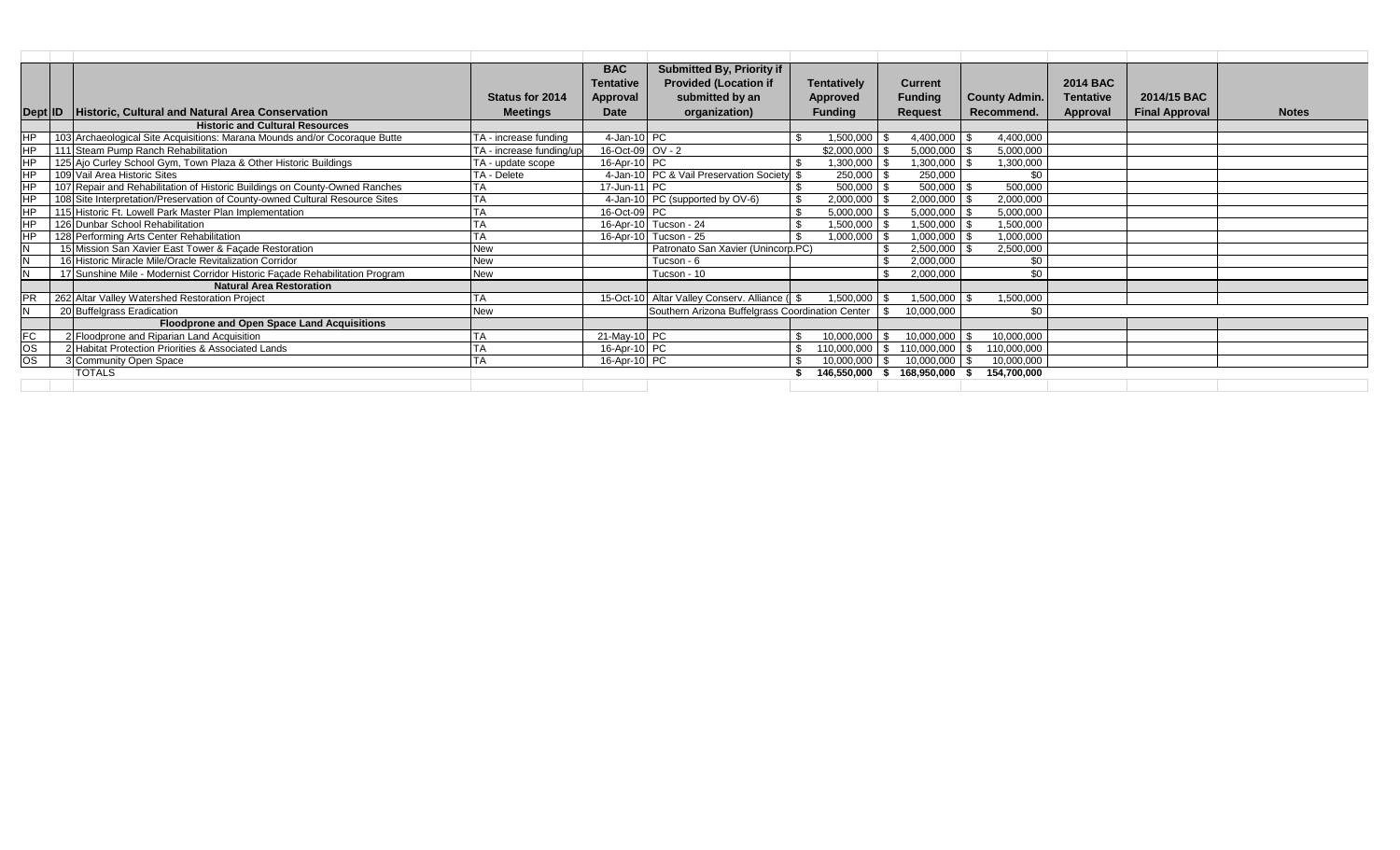|                 |                                                                              |                          | <b>BAC</b>       | Submitted By, Priority if                        |                    |                |                      |                  |                       |              |
|-----------------|------------------------------------------------------------------------------|--------------------------|------------------|--------------------------------------------------|--------------------|----------------|----------------------|------------------|-----------------------|--------------|
|                 |                                                                              |                          | <b>Tentative</b> | <b>Provided (Location if</b>                     | <b>Tentatively</b> | <b>Current</b> |                      | <b>2014 BAC</b>  |                       |              |
|                 |                                                                              | <b>Status for 2014</b>   | Approval         | submitted by an                                  | Approved           | <b>Funding</b> | <b>County Admin.</b> | <b>Tentative</b> | 2014/15 BAC           |              |
| Dept ID         | Historic, Cultural and Natural Area Conservation                             | <b>Meetings</b>          | Date             | organization)                                    | <b>Funding</b>     | <b>Request</b> | Recommend.           | Approval         | <b>Final Approval</b> | <b>Notes</b> |
|                 | <b>Historic and Cultural Resources</b>                                       |                          |                  |                                                  |                    |                |                      |                  |                       |              |
| HP              | 103 Archaeological Site Acquisitions: Marana Mounds and/or Cocoraque Butte   | TA - increase funding    | 4-Jan-10 PC      |                                                  | 1,500,000          | 4,400,000      | 4,400,000            |                  |                       |              |
| HЬ              | 111 Steam Pump Ranch Rehabilitation                                          | TA - increase funding/up | 16-Oct-09 OV - 2 |                                                  | \$2,000,000        | 5,000,000      | 5,000,000            |                  |                       |              |
| $\overline{HP}$ | 125 Ajo Curley School Gym, Town Plaza & Other Historic Buildings             | TA - update scope        | 16-Apr-10 PC     |                                                  | 1,300,000          | 1,300,000      | 1,300,000            |                  |                       |              |
| $\overline{HP}$ | 109 Vail Area Historic Sites                                                 | TA - Delete              |                  | 4-Jan-10 PC & Vail Preservation Society \$       | 250,000            | 250,000        | \$0                  |                  |                       |              |
| <b>HP</b>       | 107 Repair and Rehabilitation of Historic Buildings on County-Owned Ranches  |                          | 17-Jun-11 PC     |                                                  | 500,000            | 500,000        | 500,000              |                  |                       |              |
| <b>HP</b>       | 108 Site Interpretation/Preservation of County-owned Cultural Resource Sites |                          |                  | 4-Jan-10 PC (supported by OV-6)                  | 2,000,000          | 2,000,000      | 2,000,000            |                  |                       |              |
| $\overline{HP}$ | 115 Historic Ft. Lowell Park Master Plan Implementation                      |                          | 16-Oct-09 PC     |                                                  | 5,000,000          | 5,000,000      | 5,000,000            |                  |                       |              |
| <b>HP</b>       | 126 Dunbar School Rehabilitation                                             | <b>TA</b>                |                  | 16-Apr-10 Tucson - 24                            | 1,500,000          | 1,500,000      | 1,500,000            |                  |                       |              |
| <b>HP</b>       | 128 Performing Arts Center Rehabilitation                                    | ТA                       |                  | 16-Apr-10 Tucson - 25                            | 1,000,000          | 1,000,000      | 1,000,000            |                  |                       |              |
| N               | 15 Mission San Xavier East Tower & Façade Restoration                        | <b>New</b>               |                  | Patronato San Xavier (Unincorp.PC)               |                    | 2,500,000      | 2,500,000            |                  |                       |              |
| N               | 16 Historic Miracle Mile/Oracle Revitalization Corridor                      | <b>New</b>               |                  | Tucson - 6                                       |                    | 2,000,000      | \$0                  |                  |                       |              |
| N               | 17 Sunshine Mile - Modernist Corridor Historic Façade Rehabilitation Program | <b>New</b>               |                  | Tucson - 10                                      |                    | 2,000,000      | \$0                  |                  |                       |              |
|                 | <b>Natural Area Restoration</b>                                              |                          |                  |                                                  |                    |                |                      |                  |                       |              |
|                 | 262 Altar Valley Watershed Restoration Project                               | TA                       |                  | 15-Oct-10 Altar Valley Conserv. Alliance (1 \$   | 1,500,000          | 1,500,000      | 1,500,000            |                  |                       |              |
|                 | 20 Buffelgrass Eradication                                                   | <b>New</b>               |                  | Southern Arizona Buffelgrass Coordination Center |                    | 10,000,000     | \$0                  |                  |                       |              |
|                 | <b>Floodprone and Open Space Land Acquisitions</b>                           |                          |                  |                                                  |                    |                |                      |                  |                       |              |
| <b>FC</b>       | 2 Floodprone and Riparian Land Acquisition                                   |                          | 21-May-10 PC     |                                                  | 10,000,000         | 10,000,000     | 10,000,000           |                  |                       |              |
| OS              | 2 Habitat Protection Priorities & Associated Lands                           |                          | 16-Apr-10 PC     |                                                  | 110,000,000        | 110,000,000    | 110,000,000          |                  |                       |              |
| <b>OS</b>       | 3 Community Open Space                                                       | <b>TA</b>                | 16-Apr-10 PC     |                                                  | 10,000,000         | 10,000,000     | 10,000,000           |                  |                       |              |
|                 | <b>TOTALS</b>                                                                |                          |                  |                                                  | 146.550.000        | 168,950,000    | 154.700.000          |                  |                       |              |
|                 |                                                                              |                          |                  |                                                  |                    |                |                      |                  |                       |              |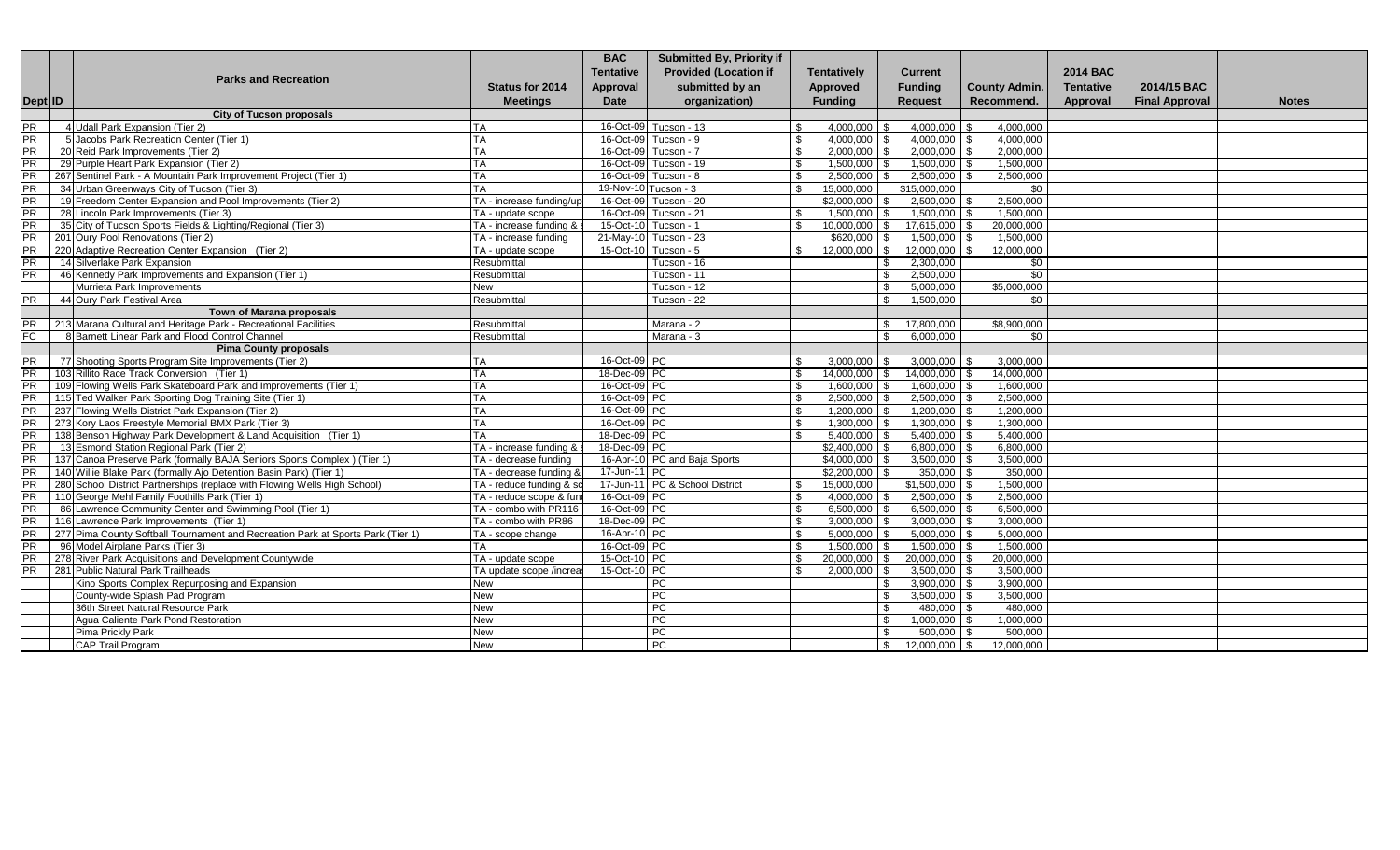|                        |         |                                                                                                           |                                                   | <b>BAC</b>                   | <b>Submitted By, Priority if</b> |                               |                             |                                    |                        |                  |                       |              |
|------------------------|---------|-----------------------------------------------------------------------------------------------------------|---------------------------------------------------|------------------------------|----------------------------------|-------------------------------|-----------------------------|------------------------------------|------------------------|------------------|-----------------------|--------------|
|                        |         |                                                                                                           |                                                   | <b>Tentative</b>             | <b>Provided (Location if</b>     |                               | <b>Tentatively</b>          | <b>Current</b>                     |                        | <b>2014 BAC</b>  |                       |              |
|                        |         | <b>Parks and Recreation</b>                                                                               | <b>Status for 2014</b>                            | <b>Approval</b>              | submitted by an                  |                               | <b>Approved</b>             | <b>Funding</b>                     | <b>County Admin.</b>   | <b>Tentative</b> | 2014/15 BAC           |              |
|                        | Dept ID |                                                                                                           | <b>Meetings</b>                                   | Date                         | organization)                    |                               | <b>Funding</b>              | <b>Request</b>                     | Recommend.             | Approval         | <b>Final Approval</b> | <b>Notes</b> |
|                        |         | <b>City of Tucson proposals</b>                                                                           |                                                   |                              |                                  |                               |                             |                                    |                        |                  |                       |              |
| <b>PR</b>              |         | 4 Udall Park Expansion (Tier 2)                                                                           | TA                                                |                              | 16-Oct-09 Tucson - 13            | <b>S</b>                      | 4,000,000                   | 4,000,000                          | 4,000,000              |                  |                       |              |
| <b>PR</b>              |         | 5 Jacobs Park Recreation Center (Tier 1)                                                                  | <b>TA</b>                                         |                              | 16-Oct-09 Tucson - 9             | $\mathbf{s}$                  | 4,000,000                   | $4,000,000$ \$                     | 4,000,000              |                  |                       |              |
| PR                     |         | 20 Reid Park Improvements (Tier 2)                                                                        | <b>TA</b>                                         |                              | 16-Oct-09 Tucson - 7             | <b>S</b>                      | 2.000.000                   | 2.000.000                          | 2.000.000              |                  |                       |              |
| PR                     |         | 29 Purple Heart Park Expansion (Tier 2)                                                                   | <b>TA</b>                                         | 16-Oct-09                    | Tucson - 19                      | <b>S</b>                      | 1,500,000                   | 1,500,000                          | 1,500,000              |                  |                       |              |
| <b>PR</b>              |         | 267 Sentinel Park - A Mountain Park Improvement Project (Tier 1)                                          | <b>TA</b>                                         |                              | 16-Oct-09 Tucson - 8             | $\mathbf{s}$                  | 2,500,000                   | 2,500,000                          | 2,500,000              |                  |                       |              |
| PR                     |         | 34 Urban Greenways City of Tucson (Tier 3)                                                                | <b>TA</b>                                         | 19-Nov-10 Tucson - 3         |                                  | $\mathcal{S}$                 | 15,000,000                  | \$15,000,000                       | \$0                    |                  |                       |              |
| $\overline{PR}$        |         | 19 Freedom Center Expansion and Pool Improvements (Tier 2)                                                | TA - increase funding/up                          | 16-Oct-09                    | Tucson - 20                      |                               | \$2,000,000                 | 2,500,000                          | 2,500,000              |                  |                       |              |
| PR                     |         | 28 Lincoln Park Improvements (Tier 3)                                                                     | TA - update scope                                 | 16-Oct-09                    | Tucson - 21                      | l \$                          | 1.500.000                   | 1,500,000                          | 1,500,000              |                  |                       |              |
| PR                     |         | 35 City of Tucson Sports Fields & Lighting/Regional (Tier 3)                                              | TA - increase funding &                           | 15-Oct-10                    | Tucson - 1                       | <b>S</b>                      | 10.000.000                  | 17,615,000                         | 20,000,000             |                  |                       |              |
| $\overline{PR}$        |         | 201 Oury Pool Renovations (Tier 2)                                                                        | TA - increase funding                             | 21-May-10                    | Tucson - 23                      |                               | \$620,000                   | 1,500,000                          | 1,500,000              |                  |                       |              |
| <b>PR</b>              |         | 220 Adaptive Recreation Center Expansion (Tier 2)                                                         | TA - update scope                                 |                              | 15-Oct-10 Tucson - 5             | \$                            | 12,000,000                  | 12,000,000<br>\$                   | 12,000,000<br><b>S</b> |                  |                       |              |
| <b>PR</b>              |         | 14 Silverlake Park Expansion                                                                              | Resubmittal                                       |                              | Tucson - 16                      |                               |                             | 2,300,000<br>\$.                   | \$0                    |                  |                       |              |
| PR                     |         | 46 Kennedy Park Improvements and Expansion (Tier 1)                                                       | Resubmittal                                       |                              | Tucson - 11                      |                               |                             | 2,500,000<br>\$                    | $\overline{50}$        |                  |                       |              |
|                        |         | Murrieta Park Improvements                                                                                | <b>New</b>                                        |                              | Tucson - 12                      |                               |                             | 5,000,000<br>\$.                   | \$5,000,000            |                  |                       |              |
| <b>PR</b>              |         | 44 Oury Park Festival Area                                                                                | Resubmittal                                       |                              | Tucson - $22$                    |                               |                             | 1,500,000<br>\$                    | \$0                    |                  |                       |              |
|                        |         | <b>Town of Marana proposals</b>                                                                           |                                                   |                              |                                  |                               |                             |                                    |                        |                  |                       |              |
| <b>PR</b>              |         | 213 Marana Cultural and Heritage Park - Recreational Facilities                                           | Resubmittal                                       |                              | Marana - 2                       |                               |                             | 17,800,000<br>\$.                  | \$8,900,000            |                  |                       |              |
| E                      |         | 8 Barnett Linear Park and Flood Control Channel                                                           | Resubmittal                                       |                              | Marana - 3                       |                               |                             | 6,000,000                          | \$0                    |                  |                       |              |
|                        |         | <b>Pima County proposals</b>                                                                              |                                                   |                              |                                  |                               |                             |                                    |                        |                  |                       |              |
| <b>PR</b>              |         | 77 Shooting Sports Program Site Improvements (Tier 2)                                                     | <b>TA</b>                                         | 16-Oct-09 PC                 |                                  | l \$                          | 3,000,000                   | 3,000,000                          | 3,000,000              |                  |                       |              |
| PR                     |         | 103 Rillito Race Track Conversion (Tier 1)                                                                | <b>TA</b>                                         | 18-Dec-09 PC                 |                                  | $\mathbf{s}$                  | 14.000.000                  | 14,000,000                         | 14,000,000             |                  |                       |              |
| <b>PR</b>              |         | 109 Flowing Wells Park Skateboard Park and Improvements (Tier 1)                                          | <b>TA</b>                                         | 16-Oct-09 PC                 |                                  | <b>S</b>                      | 1.600.000                   | 1.600.000                          | 1.600.000              |                  |                       |              |
| $\overline{PR}$        |         | 115 Ted Walker Park Sporting Dog Training Site (Tier 1)                                                   | <b>TA</b>                                         | 16-Oct-09 PC                 |                                  | $\mathbf{s}$                  | 2.500.000                   | 2,500,000                          | 2.500.000              |                  |                       |              |
| <b>PR</b>              |         | 237 Flowing Wells District Park Expansion (Tier 2)                                                        | <b>TA</b>                                         | 16-Oct-09 PC                 |                                  | $\sqrt{3}$                    | 1,200,000                   | 1,200,000                          | 1,200,000              |                  |                       |              |
| PR                     |         | 273 Kory Laos Freestyle Memorial BMX Park (Tier 3)                                                        | <b>TA</b>                                         | 16-Oct-09 PC                 |                                  | $\mathbf{s}$                  | 1,300,000                   | 1,300,000                          | 1,300,000              |                  |                       |              |
| <b>PR</b>              |         | 138 Benson Highway Park Development & Land Acquisition (Tier 1)                                           | <b>TA</b>                                         | 18-Dec-09 PC                 |                                  | $\mathbf{s}$                  | 5,400,000                   | $5,400,000$ \$                     | 5,400,000              |                  |                       |              |
| <b>PR</b>              |         | 13 Esmond Station Regional Park (Tier 2)                                                                  | TA - increase funding &                           | 18-Dec-09 PC                 |                                  |                               | $$2,400,000$ \ \$           | $6,800,000$ \$                     | 6,800,000              |                  |                       |              |
| PR                     |         | 137 Canoa Preserve Park (formally BAJA Seniors Sports Complex) (Tier 1)                                   | TA - decrease funding                             |                              | 16-Apr-10 PC and Baja Sports     |                               | $$4,000,000$ \ \$           | $3,500,000$ \$                     | 3,500,000              |                  |                       |              |
| PR                     |         | 140 Willie Blake Park (formally Ajo Detention Basin Park) (Tier 1)                                        | TA - decrease funding &                           | 17-Jun-11 PC                 |                                  |                               | $$2,200,000$ \ \$           | $350.000$ \ \$                     | 350,000                |                  |                       |              |
| <b>PR</b><br>PR        |         | 280 School District Partnerships (replace with Flowing Wells High School)                                 | TA - reduce funding & so                          |                              | 17-Jun-11 PC & School District   | $\mathcal{S}$<br>$\mathbf{s}$ | 15,000,000                  | $$1,500,000$ \\$                   | 1,500,000<br>2,500,000 |                  |                       |              |
|                        |         | 110 George Mehl Family Foothills Park (Tier 1)<br>86 Lawrence Community Center and Swimming Pool (Tier 1) | TA - reduce scope & fune<br>TA - combo with PR116 | 16-Oct-09 PC<br>16-Oct-09 PC |                                  | $\mathbf{s}$                  | $4,000,000$ \$<br>6,500,000 | $2,500,000$ \ \$<br>$6,500,000$ \$ | 6,500,000              |                  |                       |              |
| <b>PR</b><br><b>PR</b> |         | 116 Lawrence Park Improvements (Tier 1)                                                                   | TA - combo with PR86                              | 18-Dec-09 PC                 |                                  | $\mathbf{s}$                  | 3.000.000                   | $3,000,000$ \$                     | 3.000.000              |                  |                       |              |
| PR                     |         | 277 Pima County Softball Tournament and Recreation Park at Sports Park (Tier 1)                           |                                                   | 16-Apr-10 PC                 |                                  | <b>S</b>                      | 5,000,000                   | 5,000,000                          | 5,000,000              |                  |                       |              |
| <b>PR</b>              |         | 96 Model Airplane Parks (Tier 3)                                                                          | TA - scope change<br><b>TA</b>                    | 16-Oct-09 PC                 |                                  | $\mathbf{s}$                  | 1.500.000                   | 1,500,000                          | 1.500.000              |                  |                       |              |
| <b>PR</b>              |         | 278 River Park Acquisitions and Development Countywide                                                    | TA - update scope                                 | 15-Oct-10 PC                 |                                  | $\mathbf{s}$                  | 20,000,000                  | 20,000,000                         | 20,000,000             |                  |                       |              |
| $\overline{PR}$        |         | 281 Public Natural Park Trailheads                                                                        | TA update scope /increa                           | 15-Oct-10 PC                 |                                  | <b>S</b>                      | 2,000,000                   | 3,500,000                          | 3,500,000              |                  |                       |              |
|                        |         | Kino Sports Complex Repurposing and Expansion                                                             | <b>New</b>                                        |                              | PC                               |                               |                             | 3,900,000                          | 3,900,000              |                  |                       |              |
|                        |         | County-wide Splash Pad Program                                                                            | New                                               |                              | PC                               |                               |                             | 3,500,000                          | 3.500.000              |                  |                       |              |
|                        |         | 36th Street Natural Resource Park                                                                         | <b>New</b>                                        |                              | PC                               |                               |                             | 480,000                            | 480.000                |                  |                       |              |
|                        |         | Agua Caliente Park Pond Restoration                                                                       | New                                               |                              | PC                               |                               |                             | $1,000,000$ \ \$                   | 1,000,000              |                  |                       |              |
|                        |         | Pima Prickly Park                                                                                         | New                                               |                              | PC                               |                               |                             | $500,000$ \$                       | 500,000                |                  |                       |              |
|                        |         | CAP Trail Program                                                                                         | New                                               |                              | PC                               |                               |                             | 12,000,000 \$<br>$\mathsf{\$}$     | 12,000,000             |                  |                       |              |
|                        |         |                                                                                                           |                                                   |                              |                                  |                               |                             |                                    |                        |                  |                       |              |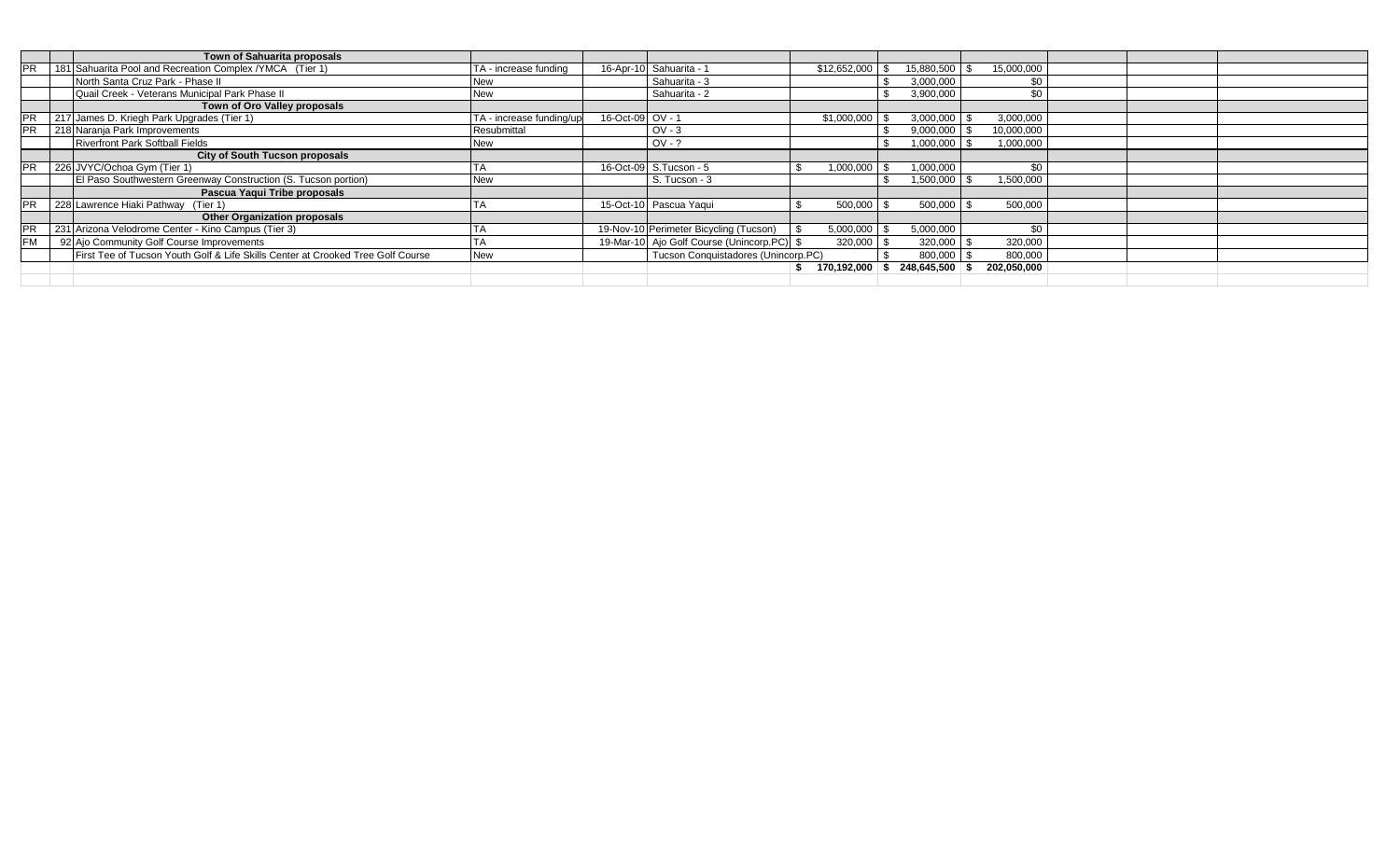| PR        | 181 Sahuarita Pool and Recreation Complex / YMCA (Tier 1)<br>North Santa Cruz Park - Phase II<br>Quail Creek - Veterans Municipal Park Phase II<br>Town of Oro Valley proposals<br>217 James D. Kriegh Park Upgrades (Tier 1)<br>218 Naranja Park Improvements<br><b>Riverfront Park Softball Fields</b><br>City of South Tucson proposals | TA - increase funding<br><b>New</b><br><b>New</b><br>TA - increase funding/up<br>Resubmittal<br><b>New</b> | 16-Oct-09 OV - 1 | 16-Apr-10 Sahuarita - 1<br>Sahuarita - 3<br>Sahuarita - 2<br>$OV - 3$ | $$12,652,000$ \ \$<br>\$1,000,000 | 15,880,500 \$<br>3,000,000<br>3,900,000<br>3,000,000 | 15,000,000<br>\$0<br>\$0<br>3,000,000 |  |  |
|-----------|--------------------------------------------------------------------------------------------------------------------------------------------------------------------------------------------------------------------------------------------------------------------------------------------------------------------------------------------|------------------------------------------------------------------------------------------------------------|------------------|-----------------------------------------------------------------------|-----------------------------------|------------------------------------------------------|---------------------------------------|--|--|
|           |                                                                                                                                                                                                                                                                                                                                            |                                                                                                            |                  |                                                                       |                                   |                                                      |                                       |  |  |
|           |                                                                                                                                                                                                                                                                                                                                            |                                                                                                            |                  |                                                                       |                                   |                                                      |                                       |  |  |
|           |                                                                                                                                                                                                                                                                                                                                            |                                                                                                            |                  |                                                                       |                                   |                                                      |                                       |  |  |
|           |                                                                                                                                                                                                                                                                                                                                            |                                                                                                            |                  |                                                                       |                                   |                                                      |                                       |  |  |
|           |                                                                                                                                                                                                                                                                                                                                            |                                                                                                            |                  |                                                                       |                                   |                                                      |                                       |  |  |
|           |                                                                                                                                                                                                                                                                                                                                            |                                                                                                            |                  |                                                                       |                                   | 9,000,000                                            | 10,000,000                            |  |  |
|           |                                                                                                                                                                                                                                                                                                                                            |                                                                                                            |                  | $OV - ?$                                                              |                                   | 1,000,000                                            | 1,000,000                             |  |  |
|           |                                                                                                                                                                                                                                                                                                                                            |                                                                                                            |                  |                                                                       |                                   |                                                      |                                       |  |  |
|           | 226 JVYC/Ochoa Gym (Tier 1)                                                                                                                                                                                                                                                                                                                |                                                                                                            |                  | 16-Oct-09 S.Tucson - 5                                                | $1,000,000$ \$                    | 1,000,000                                            | \$0                                   |  |  |
|           | El Paso Southwestern Greenway Construction (S. Tucson portion)                                                                                                                                                                                                                                                                             | <b>New</b>                                                                                                 |                  | S. Tucson - 3                                                         |                                   | $1,500,000$ \ \$                                     | 1,500,000                             |  |  |
|           | Pascua Yaqui Tribe proposals                                                                                                                                                                                                                                                                                                               |                                                                                                            |                  |                                                                       |                                   |                                                      |                                       |  |  |
|           | 228 Lawrence Hiaki Pathway (Tier 1)                                                                                                                                                                                                                                                                                                        |                                                                                                            |                  | 15-Oct-10 Pascua Yaqui                                                | 500,000                           | 500,000                                              | 500,000                               |  |  |
|           | <b>Other Organization proposals</b>                                                                                                                                                                                                                                                                                                        |                                                                                                            |                  |                                                                       |                                   |                                                      |                                       |  |  |
|           | 231 Arizona Velodrome Center - Kino Campus (Tier 3)                                                                                                                                                                                                                                                                                        |                                                                                                            |                  | 19-Nov-10 Perimeter Bicycling (Tucson)                                | $5,000,000$ \$                    | 5,000,000                                            | \$0                                   |  |  |
| <b>FM</b> | 92 Ajo Community Golf Course Improvements                                                                                                                                                                                                                                                                                                  |                                                                                                            |                  | 19-Mar-10 Ajo Golf Course (Unincorp.PC) \$                            | $320,000$ \$                      | 320,000                                              | 320,000                               |  |  |
|           | First Tee of Tucson Youth Golf & Life Skills Center at Crooked Tree Golf Course                                                                                                                                                                                                                                                            | <b>New</b>                                                                                                 |                  | Tucson Conquistadores (Unincorp.PC)                                   |                                   | 800,000                                              | 800,000                               |  |  |
|           |                                                                                                                                                                                                                                                                                                                                            |                                                                                                            |                  |                                                                       | $170,192,000$ \$ 248,645,500 \$   |                                                      | 202,050,000                           |  |  |
|           |                                                                                                                                                                                                                                                                                                                                            |                                                                                                            |                  |                                                                       |                                   |                                                      |                                       |  |  |